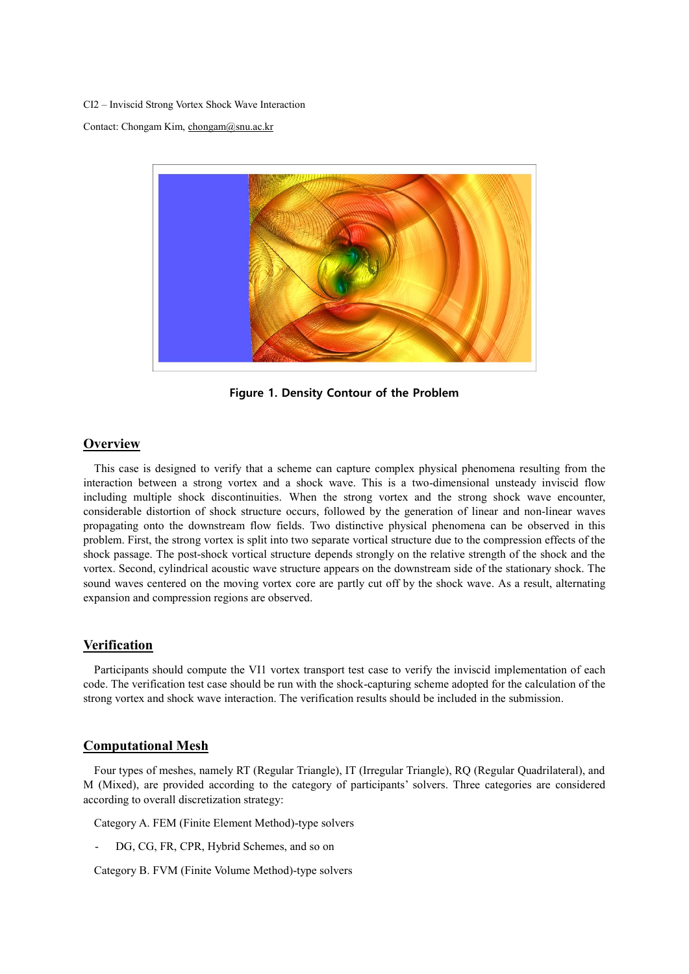CI2 – Inviscid Strong Vortex Shock Wave Interaction

Contact: Chongam Kim[, chongam@snu.ac.kr](mailto:chongam@snu.ac.kr)



**Figure 1. Density Contour of the Problem**

# **Overview**

This case is designed to verify that a scheme can capture complex physical phenomena resulting from the interaction between a strong vortex and a shock wave. This is a two-dimensional unsteady inviscid flow including multiple shock discontinuities. When the strong vortex and the strong shock wave encounter, considerable distortion of shock structure occurs, followed by the generation of linear and non-linear waves propagating onto the downstream flow fields. Two distinctive physical phenomena can be observed in this problem. First, the strong vortex is split into two separate vortical structure due to the compression effects of the shock passage. The post-shock vortical structure depends strongly on the relative strength of the shock and the vortex. Second, cylindrical acoustic wave structure appears on the downstream side of the stationary shock. The sound waves centered on the moving vortex core are partly cut off by the shock wave. As a result, alternating expansion and compression regions are observed.

## **Verification**

Participants should compute the VI1 vortex transport test case to verify the inviscid implementation of each code. The verification test case should be run with the shock-capturing scheme adopted for the calculation of the strong vortex and shock wave interaction. The verification results should be included in the submission.

#### **Computational Mesh**

Four types of meshes, namely RT (Regular Triangle), IT (Irregular Triangle), RQ (Regular Quadrilateral), and M (Mixed), are provided according to the category of participants' solvers. Three categories are considered according to overall discretization strategy:

Category A. FEM (Finite Element Method)-type solvers

DG, CG, FR, CPR, Hybrid Schemes, and so on

Category B. FVM (Finite Volume Method)-type solvers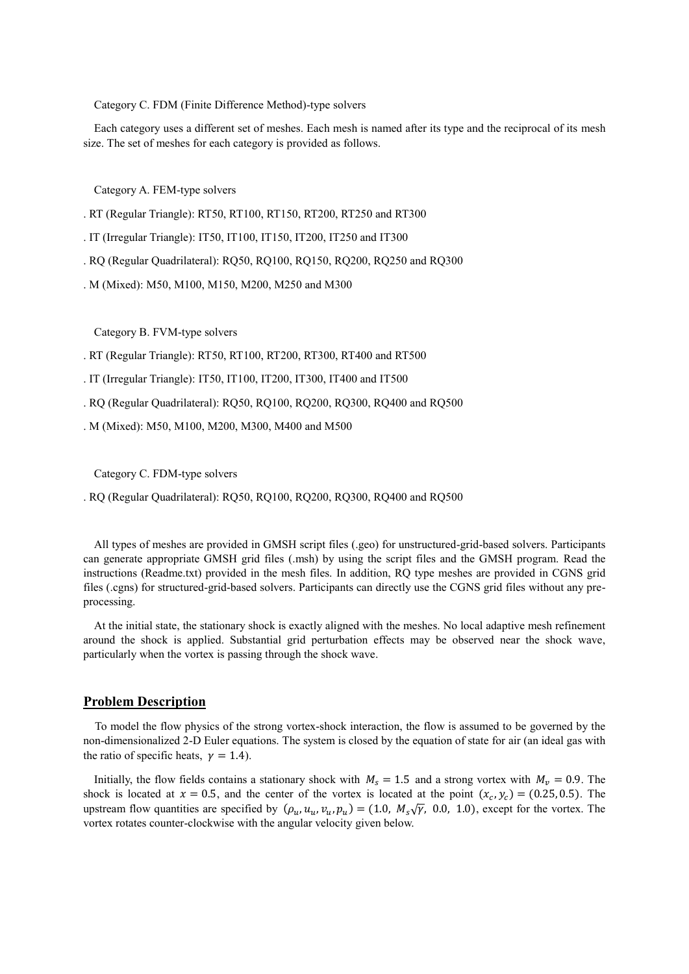Category C. FDM (Finite Difference Method)-type solvers

Each category uses a different set of meshes. Each mesh is named after its type and the reciprocal of its mesh size. The set of meshes for each category is provided as follows.

Category A. FEM-type solvers

- . RT (Regular Triangle): RT50, RT100, RT150, RT200, RT250 and RT300
- . IT (Irregular Triangle): IT50, IT100, IT150, IT200, IT250 and IT300
- . RQ (Regular Quadrilateral): RQ50, RQ100, RQ150, RQ200, RQ250 and RQ300
- . M (Mixed): M50, M100, M150, M200, M250 and M300

Category B. FVM-type solvers

- . RT (Regular Triangle): RT50, RT100, RT200, RT300, RT400 and RT500
- . IT (Irregular Triangle): IT50, IT100, IT200, IT300, IT400 and IT500
- . RQ (Regular Quadrilateral): RQ50, RQ100, RQ200, RQ300, RQ400 and RQ500
- . M (Mixed): M50, M100, M200, M300, M400 and M500

Category C. FDM-type solvers

. RQ (Regular Quadrilateral): RQ50, RQ100, RQ200, RQ300, RQ400 and RQ500

All types of meshes are provided in GMSH script files (.geo) for unstructured-grid-based solvers. Participants can generate appropriate GMSH grid files (.msh) by using the script files and the GMSH program. Read the instructions (Readme.txt) provided in the mesh files. In addition, RQ type meshes are provided in CGNS grid files (.cgns) for structured-grid-based solvers. Participants can directly use the CGNS grid files without any preprocessing.

At the initial state, the stationary shock is exactly aligned with the meshes. No local adaptive mesh refinement around the shock is applied. Substantial grid perturbation effects may be observed near the shock wave, particularly when the vortex is passing through the shock wave.

# **Problem Description**

To model the flow physics of the strong vortex-shock interaction, the flow is assumed to be governed by the non-dimensionalized 2-D Euler equations. The system is closed by the equation of state for air (an ideal gas with the ratio of specific heats,  $\gamma = 1.4$ ).

Initially, the flow fields contains a stationary shock with  $M_s = 1.5$  and a strong vortex with  $M_v = 0.9$ . The shock is located at  $x = 0.5$ , and the center of the vortex is located at the point  $(x_c, y_c) = (0.25, 0.5)$ . The upstream flow quantities are specified by  $(\rho_u, u_u, v_u, p_u) = (1.0, M_s\sqrt{\gamma}, 0.0, 1.0)$ , except for the vortex. The vortex rotates counter-clockwise with the angular velocity given below.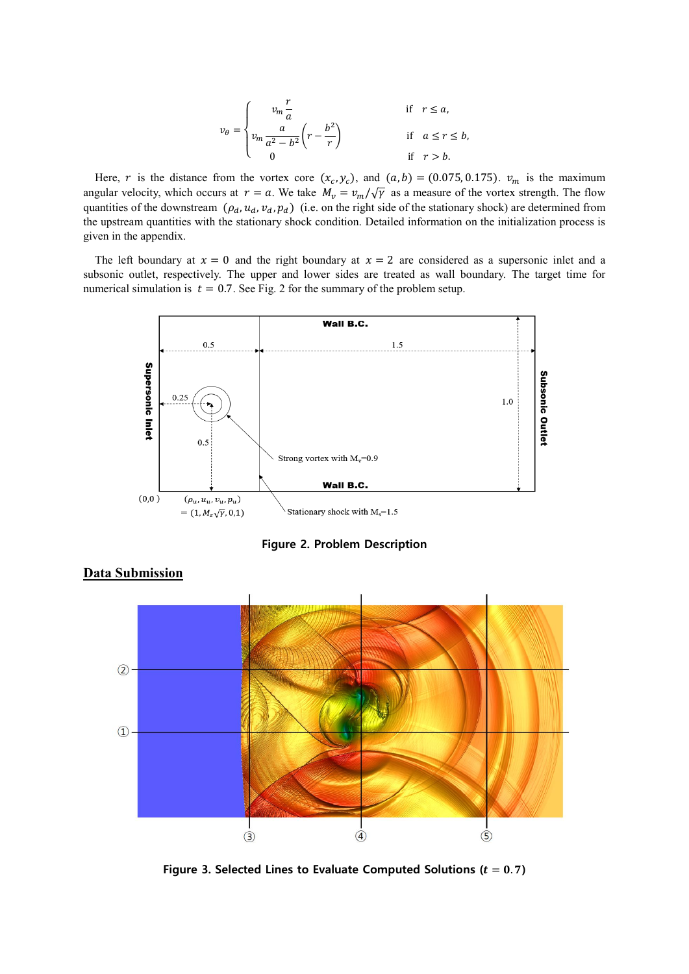$$
v_{\theta} = \begin{cases} v_m \frac{r}{a} & \text{if } r \le a, \\ v_m \frac{a}{a^2 - b^2} \left( r - \frac{b^2}{r} \right) & \text{if } a \le r \le b, \\ 0 & \text{if } r > b. \end{cases}
$$

Here, r is the distance from the vortex core  $(x_c, y_c)$ , and  $(a, b) = (0.075, 0.175)$ .  $v_m$  is the maximum angular velocity, which occurs at  $r = a$ . We take  $M_v = v_m / \sqrt{\gamma}$  as a measure of the vortex strength. The flow quantities of the downstream  $(\rho_d, u_d, v_d, p_d)$  (i.e. on the right side of the stationary shock) are determined from the upstream quantities with the stationary shock condition. Detailed information on the initialization process is given in the appendix.

The left boundary at  $x = 0$  and the right boundary at  $x = 2$  are considered as a supersonic inlet and a subsonic outlet, respectively. The upper and lower sides are treated as wall boundary. The target time for numerical simulation is  $t = 0.7$ . See Fig. 2 for the summary of the problem setup.



**Figure 2. Problem Description**



## **Data Submission**

Figure 3. Selected Lines to Evaluate Computed Solutions ( $t = 0.7$ )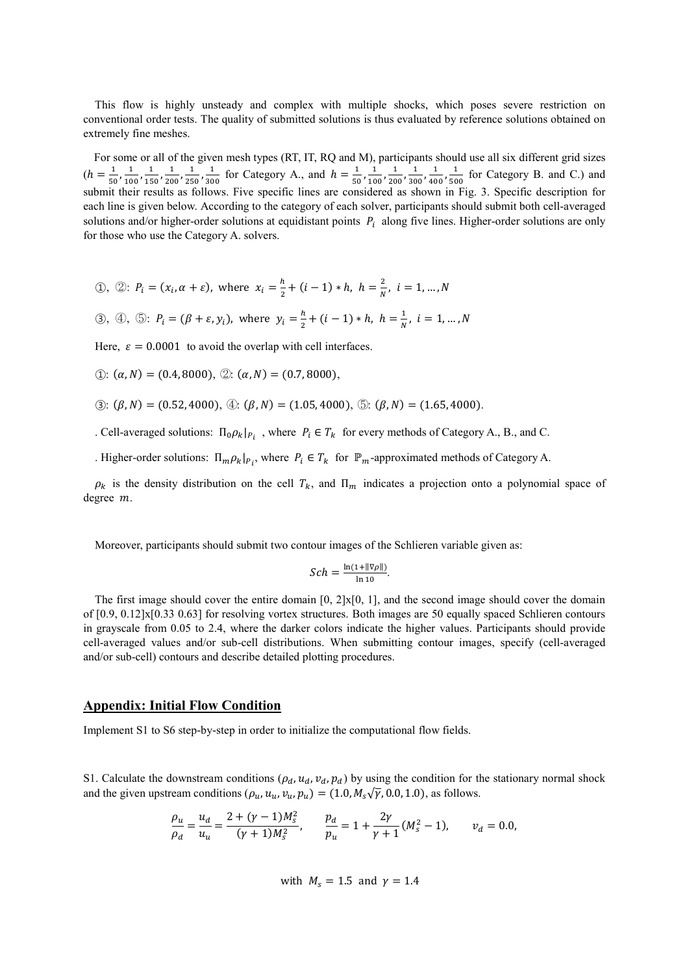This flow is highly unsteady and complex with multiple shocks, which poses severe restriction on conventional order tests. The quality of submitted solutions is thus evaluated by reference solutions obtained on extremely fine meshes.

For some or all of the given mesh types (RT, IT, RQ and M), participants should use all six different grid sizes  $(h = \frac{1}{10})$  $\frac{1}{50}, \frac{1}{10}$  $\frac{1}{100}$ ,  $\frac{1}{15}$  $\frac{1}{150}, \frac{1}{20}$  $\frac{1}{200}$ ,  $\frac{1}{25}$  $\frac{1}{250}, \frac{1}{30}$  $\frac{1}{300}$  for Category A., and  $h = \frac{1}{50}$  $\frac{1}{50}, \frac{1}{10}$  $\frac{1}{100}$ ,  $\frac{1}{20}$  $\frac{1}{200}, \frac{1}{30}$  $\frac{1}{300}, \frac{1}{40}$  $\frac{1}{400}$ ,  $\frac{1}{50}$  $\frac{1}{500}$  for Category B. and C.) and submit their results as follows. Five specific lines are considered as shown in Fig. 3. Specific description for each line is given below. According to the category of each solver, participants should submit both cell-averaged solutions and/or higher-order solutions at equidistant points  $P_i$  along five lines. Higher-order solutions are only for those who use the Category A. solvers.

(1), (2): 
$$
P_i = (x_i, \alpha + \varepsilon)
$$
, where  $x_i = \frac{h}{2} + (i - 1) * h$ ,  $h = \frac{2}{N}$ ,  $i = 1, ..., N$ 

(3), (4), (5): 
$$
P_i = (\beta + \varepsilon, y_i)
$$
, where  $y_i = \frac{h}{2} + (i - 1) * h$ ,  $h = \frac{1}{N}$ ,  $i = 1, ..., N$ 

Here,  $\varepsilon = 0.0001$  to avoid the overlap with cell interfaces.

 $\textcircled{1}: (\alpha, N) = (0.4, 8000), \textcircled{2}: (\alpha, N) = (0.7, 8000),$ 

$$
\textcircled{3}: (\beta, N) = (0.52, 4000), \textcircled{4}: (\beta, N) = (1.05, 4000), \textcircled{5}: (\beta, N) = (1.65, 4000).
$$

. Cell-averaged solutions:  $\Pi_0 \rho_k |_{P_i}$ , where  $P_i \in T_k$  for every methods of Category A., B., and C.

. Higher-order solutions:  $\Pi_m \rho_k |_{P_i}$ , where  $P_i \in T_k$  for  $\mathbb{P}_m$ -approximated methods of Category A.

 $\rho_k$  is the density distribution on the cell  $T_k$ , and  $\Pi_m$  indicates a projection onto a polynomial space of degree m.

Moreover, participants should submit two contour images of the Schlieren variable given as:

$$
Sch = \frac{\ln(1 + ||\nabla \rho||)}{\ln 10}.
$$

The first image should cover the entire domain  $[0, 2] \times [0, 1]$ , and the second image should cover the domain of [0.9, 0.12]x[0.33 0.63] for resolving vortex structures. Both images are 50 equally spaced Schlieren contours in grayscale from 0.05 to 2.4, where the darker colors indicate the higher values. Participants should provide cell-averaged values and/or sub-cell distributions. When submitting contour images, specify (cell-averaged and/or sub-cell) contours and describe detailed plotting procedures.

## **Appendix: Initial Flow Condition**

Implement S1 to S6 step-by-step in order to initialize the computational flow fields.

S1. Calculate the downstream conditions  $(\rho_d, u_d, v_d, p_d)$  by using the condition for the stationary normal shock and the given upstream conditions  $(\rho_u, u_u, v_u, p_u) = (1.0, M_s\sqrt{\gamma}, 0.0, 1.0)$ , as follows.

$$
\frac{\rho_u}{\rho_d} = \frac{u_d}{u_u} = \frac{2 + (\gamma - 1)M_s^2}{(\gamma + 1)M_s^2}, \qquad \frac{p_d}{p_u} = 1 + \frac{2\gamma}{\gamma + 1}(M_s^2 - 1), \qquad v_d = 0.0,
$$

with 
$$
M_s = 1.5
$$
 and  $\gamma = 1.4$